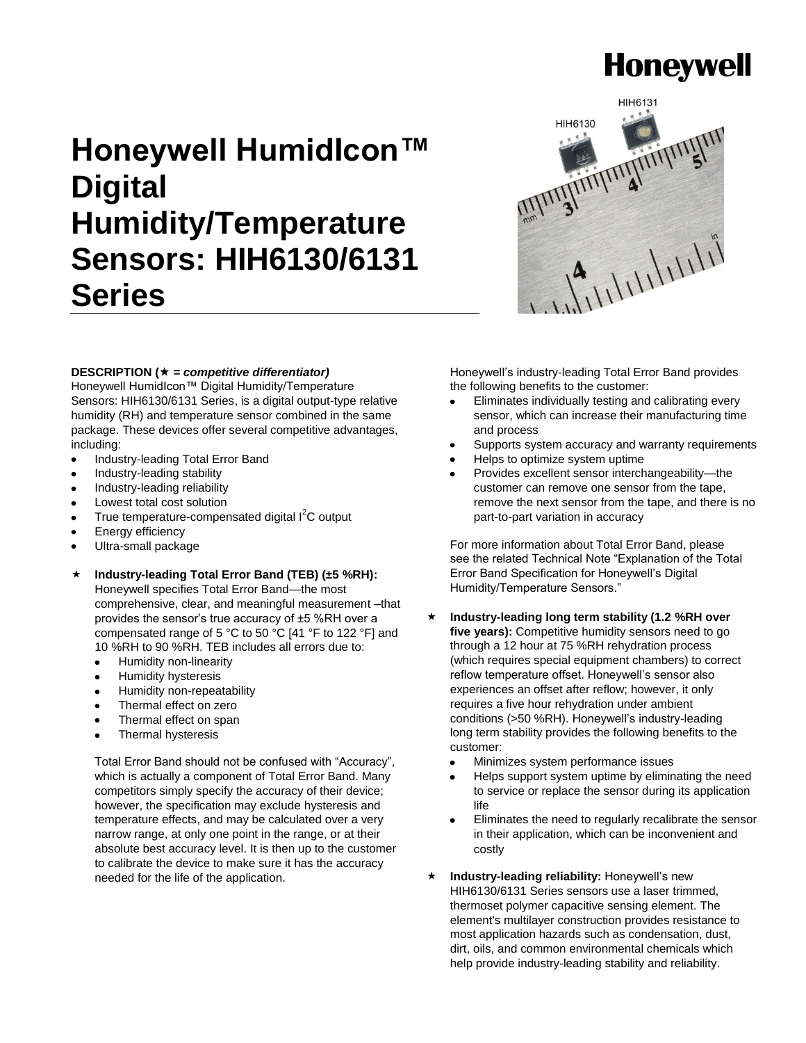# **Honeywell**

# **Honeywell HumidIcon™ Digital Humidity/Temperature Sensors: HIH6130/6131 Series**



#### **DESCRIPTION (** *= competitive differentiator)*

Honeywell HumidIcon™ Digital Humidity/Temperature Sensors: HIH6130/6131 Series, is a digital output-type relative humidity (RH) and temperature sensor combined in the same package. These devices offer several competitive advantages, including:

- $\bullet$ Industry-leading Total Error Band
- Industry-leading stability
- Industry-leading reliability
- Lowest total cost solution
- True temperature-compensated digital  $I^2C$  output
- Energy efficiency
- Ultra-small package
- **Industry-leading Total Error Band (TEB) (±5 %RH):**

Honeywell specifies Total Error Band—the most comprehensive, clear, and meaningful measurement –that provides the sensor's true accuracy of ±5 %RH over a compensated range of 5 °C to 50 °C [41 °F to 122 °F] and 10 %RH to 90 %RH. TEB includes all errors due to:

- Humidity non-linearity
- Humidity hysteresis
- Humidity non-repeatability
- Thermal effect on zero
- Thermal effect on span
- Thermal hysteresis

Total Error Band should not be confused with "Accuracy", which is actually a component of Total Error Band. Many competitors simply specify the accuracy of their device; however, the specification may exclude hysteresis and temperature effects, and may be calculated over a very narrow range, at only one point in the range, or at their absolute best accuracy level. It is then up to the customer to calibrate the device to make sure it has the accuracy needed for the life of the application.

Honeywell's industry-leading Total Error Band provides the following benefits to the customer:

- Eliminates individually testing and calibrating every sensor, which can increase their manufacturing time and process
- Supports system accuracy and warranty requirements
- Helps to optimize system uptime
- Provides excellent sensor interchangeability—the customer can remove one sensor from the tape, remove the next sensor from the tape, and there is no part-to-part variation in accuracy

For more information about Total Error Band, please see the related Technical Note "Explanation of the Total Error Band Specification for Honeywell's Digital Humidity/Temperature Sensors."

- **Industry-leading long term stability (1.2 %RH over**  five years): Competitive humidity sensors need to go through a 12 hour at 75 %RH rehydration process (which requires special equipment chambers) to correct reflow temperature offset. Honeywell's sensor also experiences an offset after reflow; however, it only requires a five hour rehydration under ambient conditions (>50 %RH). Honeywell's industry-leading long term stability provides the following benefits to the customer:
	- Minimizes system performance issues
	- Helps support system uptime by eliminating the need to service or replace the sensor during its application life
	- Eliminates the need to regularly recalibrate the sensor in their application, which can be inconvenient and costly
- **Industry-leading reliability:** Honeywell's new HIH6130/6131 Series sensors use a laser trimmed, thermoset polymer capacitive sensing element. The element's multilayer construction provides resistance to most application hazards such as condensation, dust, dirt, oils, and common environmental chemicals which help provide industry-leading stability and reliability.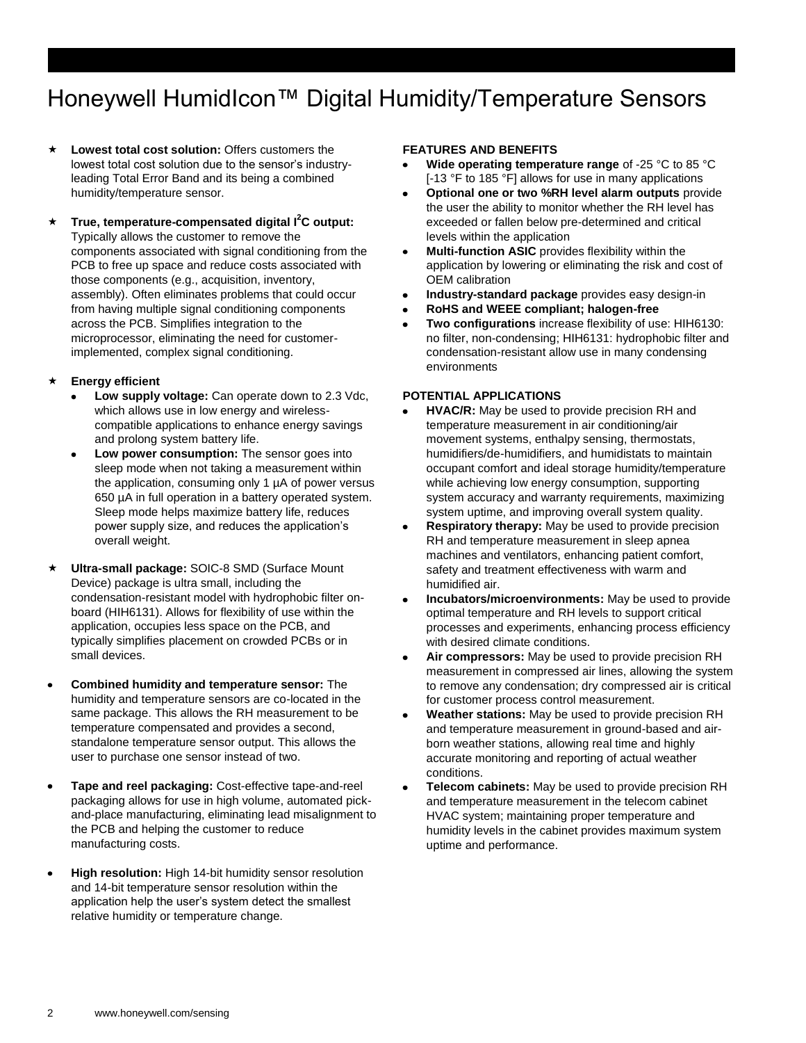### Honeywell HumidIcon™ Digital Humidity/Temperature Sensors

- **Lowest total cost solution:** Offers customers the lowest total cost solution due to the sensor's industryleading Total Error Band and its being a combined humidity/temperature sensor.
- **True, temperature-compensated digital I<sup>2</sup>C output:** Typically allows the customer to remove the components associated with signal conditioning from the PCB to free up space and reduce costs associated with those components (e.g., acquisition, inventory, assembly). Often eliminates problems that could occur from having multiple signal conditioning components across the PCB. Simplifies integration to the microprocessor, eliminating the need for customerimplemented, complex signal conditioning.
- **Energy efficient**
	- **Low supply voltage:** Can operate down to 2.3 Vdc, which allows use in low energy and wirelesscompatible applications to enhance energy savings and prolong system battery life.
	- **Low power consumption:** The sensor goes into sleep mode when not taking a measurement within the application, consuming only 1 µA of power versus 650 µA in full operation in a battery operated system. Sleep mode helps maximize battery life, reduces power supply size, and reduces the application's overall weight.
- **Ultra-small package:** SOIC-8 SMD (Surface Mount Device) package is ultra small, including the condensation-resistant model with hydrophobic filter onboard (HIH6131). Allows for flexibility of use within the application, occupies less space on the PCB, and typically simplifies placement on crowded PCBs or in small devices.
- **Combined humidity and temperature sensor:** The humidity and temperature sensors are co-located in the same package. This allows the RH measurement to be temperature compensated and provides a second, standalone temperature sensor output. This allows the user to purchase one sensor instead of two.
- **Tape and reel packaging:** Cost-effective tape-and-reel  $\bullet$ packaging allows for use in high volume, automated pickand-place manufacturing, eliminating lead misalignment to the PCB and helping the customer to reduce manufacturing costs.
- **High resolution:** High 14-bit humidity sensor resolution and 14-bit temperature sensor resolution within the application help the user's system detect the smallest relative humidity or temperature change.

#### **FEATURES AND BENEFITS**

- **Wide operating temperature range** of -25 °C to 85 °C [-13 °F to 185 °F] allows for use in many applications
- **Optional one or two %RH level alarm outputs** provide  $\bullet$ the user the ability to monitor whether the RH level has exceeded or fallen below pre-determined and critical levels within the application
- **Multi-function ASIC** provides flexibility within the  $\bullet$ application by lowering or eliminating the risk and cost of OEM calibration
- **Industry-standard package** provides easy design-in
- **RoHS and WEEE compliant; halogen-free**
- **Two configurations** increase flexibility of use: HIH6130: no filter, non-condensing; HIH6131: hydrophobic filter and condensation-resistant allow use in many condensing environments

#### **POTENTIAL APPLICATIONS**

- **HVAC/R:** May be used to provide precision RH and temperature measurement in air conditioning/air movement systems, enthalpy sensing, thermostats, humidifiers/de-humidifiers, and humidistats to maintain occupant comfort and ideal storage humidity/temperature while achieving low energy consumption, supporting system accuracy and warranty requirements, maximizing system uptime, and improving overall system quality.
- **Respiratory therapy:** May be used to provide precision  $\bullet$ RH and temperature measurement in sleep apnea machines and ventilators, enhancing patient comfort, safety and treatment effectiveness with warm and humidified air.
- **Incubators/microenvironments:** May be used to provide  $\bullet$ optimal temperature and RH levels to support critical processes and experiments, enhancing process efficiency with desired climate conditions.
- $\bullet$ **Air compressors:** May be used to provide precision RH measurement in compressed air lines, allowing the system to remove any condensation; dry compressed air is critical for customer process control measurement.
- **Weather stations:** May be used to provide precision RH  $\bullet$ and temperature measurement in ground-based and airborn weather stations, allowing real time and highly accurate monitoring and reporting of actual weather conditions.
- $\bullet$ **Telecom cabinets:** May be used to provide precision RH and temperature measurement in the telecom cabinet HVAC system; maintaining proper temperature and humidity levels in the cabinet provides maximum system uptime and performance.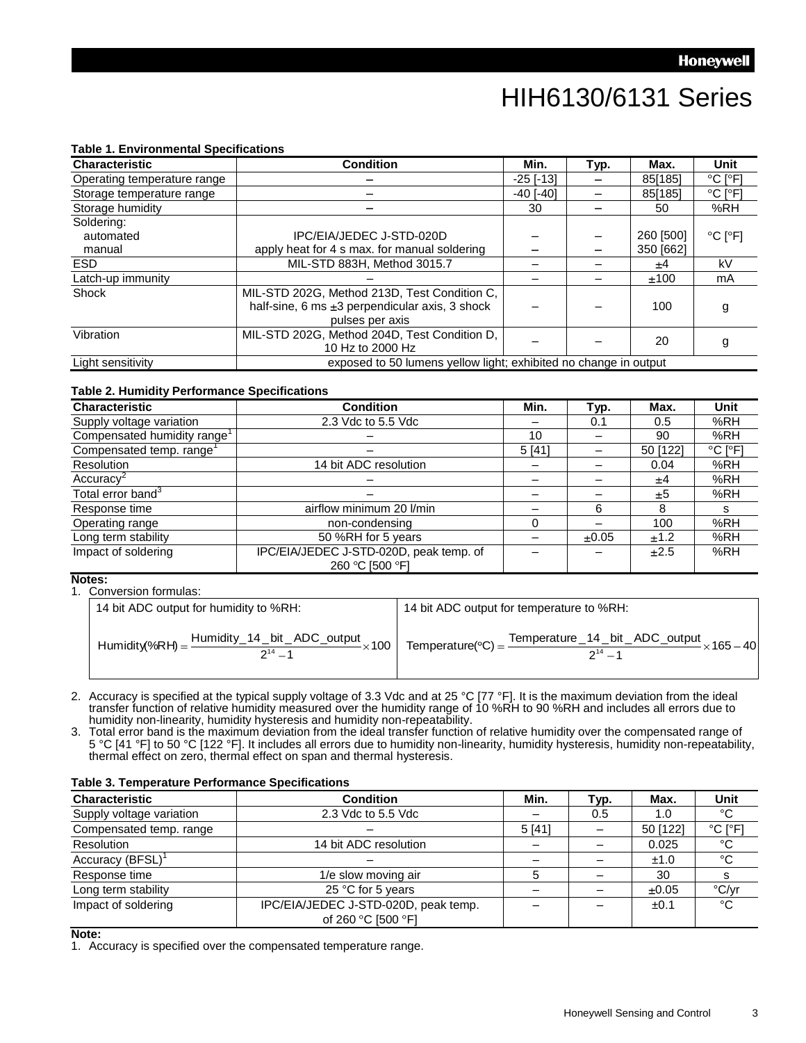### HIH6130/6131 Series

#### **Table 1. Environmental Specifications**

| <b>Characteristic</b>       | <b>Condition</b>                                                 | Min.            | Typ. | Max.      | Unit                         |
|-----------------------------|------------------------------------------------------------------|-----------------|------|-----------|------------------------------|
| Operating temperature range |                                                                  | $-25$ [ $-13$ ] |      | 85[185]   | $^{\circ}$ C I $^{\circ}$ F1 |
| Storage temperature range   |                                                                  | $-40$ [ $-40$ ] |      | 85[185]   | $^{\circ}$ C [ $^{\circ}$ F] |
| Storage humidity            |                                                                  | 30              |      | 50        | %RH                          |
| Soldering:                  |                                                                  |                 |      |           |                              |
| automated                   | IPC/EIA/JEDEC J-STD-020D                                         |                 |      | 260 [500] | $^{\circ}$ C [ $^{\circ}$ F] |
| manual                      | apply heat for 4 s max. for manual soldering                     |                 |      | 350 [662] |                              |
| ESD.                        | MIL-STD 883H, Method 3015.7                                      |                 |      | ±4        | kV                           |
| Latch-up immunity           |                                                                  |                 |      | ±100      | mA                           |
| Shock                       | MIL-STD 202G, Method 213D, Test Condition C,                     |                 |      |           |                              |
|                             | half-sine, 6 ms $\pm 3$ perpendicular axis, 3 shock              |                 |      | 100       | g                            |
|                             | pulses per axis                                                  |                 |      |           |                              |
| Vibration                   | MIL-STD 202G, Method 204D, Test Condition D,                     |                 |      | 20        |                              |
|                             | 10 Hz to 2000 Hz                                                 |                 |      |           | g                            |
| Light sensitivity           | exposed to 50 lumens yellow light; exhibited no change in output |                 |      |           |                              |

#### **Table 2. Humidity Performance Specifications**

| <b>Characteristic</b>                   | <b>Condition</b>                                           | Min.  | Typ.  | Max.     | <b>Unit</b>                  |
|-----------------------------------------|------------------------------------------------------------|-------|-------|----------|------------------------------|
| Supply voltage variation                | 2.3 Vdc to 5.5 Vdc                                         |       | 0.1   | 0.5      | %RH                          |
| Compensated humidity range <sup>1</sup> |                                                            | 10    |       | 90       | %RH                          |
| Compensated temp. range <sup>1</sup>    |                                                            | 5[41] |       | 50 [122] | $^{\circ}$ C [ $^{\circ}$ F] |
| Resolution                              | 14 bit ADC resolution                                      |       |       | 0.04     | %RH                          |
| Accuracy <sup>2</sup>                   |                                                            |       |       | ±4       | %RH                          |
| Total error band <sup>3</sup>           |                                                            |       |       | ±5       | %RH                          |
| Response time                           | airflow minimum 20 l/min                                   |       | 6     | 8        | s                            |
| Operating range                         | non-condensing                                             |       |       | 100      | %RH                          |
| Long term stability                     | 50 %RH for 5 years                                         |       | ±0.05 | ±1.2     | %RH                          |
| Impact of soldering                     | IPC/EIA/JEDEC J-STD-020D, peak temp. of<br>260 °C [500 °F] |       |       | ±2.5     | %RH                          |

#### **Notes:**

|  | 1. |  | Conversion formulas: |
|--|----|--|----------------------|
|--|----|--|----------------------|

| 14 bit ADC output for humidity to %RH:                                                                                     | 14 bit ADC output for temperature to %RH:                                                     |
|----------------------------------------------------------------------------------------------------------------------------|-----------------------------------------------------------------------------------------------|
| $^1$ Humidity%RH) = $\frac{\text{Humidity}\_14\_\text{bit}\_\text{ADC}\_\text{output}}{$<br>$- \times 100$<br>$2^{14} - 1$ | Temperature(°C) = $\frac{\text{Temperature}}{214}$ bit _ADC_output × 165 - 40<br>$2^{14} - 1$ |

2. Accuracy is specified at the typical supply voltage of 3.3 Vdc and at 25 °C [77 °F]. It is the maximum deviation from the ideal transfer function of relative humidity measured over the humidity range of 10 %RH to 90 %RH and includes all errors due to humidity non-linearity, humidity hysteresis and humidity non-repeatability.

3. Total error band is the maximum deviation from the ideal transfer function of relative humidity over the compensated range of 5 °C [41 °F] to 50 °C [122 °F]. It includes all errors due to humidity non-linearity, humidity hysteresis, humidity non-repeatability, thermal effect on zero, thermal effect on span and thermal hysteresis.

| <b>Characteristic</b>        | <b>Condition</b>                                           | Min.   | Typ. | Max.       | <b>Unit</b>  |
|------------------------------|------------------------------------------------------------|--------|------|------------|--------------|
| Supply voltage variation     | 2.3 Vdc to 5.5 Vdc                                         |        | 0.5  | 1.0        | °C           |
| Compensated temp. range      |                                                            | 5 [41] |      | 50 [122]   | °C I°F1      |
| Resolution                   | 14 bit ADC resolution                                      |        |      | 0.025      | °C           |
| Accuracy (BFSL) <sup>1</sup> |                                                            |        |      | ±1.0       | °C           |
| Response time                | 1/e slow moving air                                        |        |      | 30         |              |
| Long term stability          | 25 °C for 5 years                                          |        |      | $\pm 0.05$ | °C/yr        |
| Impact of soldering          | IPC/EIA/JEDEC J-STD-020D, peak temp.<br>of 260 °C [500 °F] |        |      | $\pm 0.1$  | $^{\circ}$ C |

#### **Table 3. Temperature Performance Specifications**

#### **Note:**

1. Accuracy is specified over the compensated temperature range.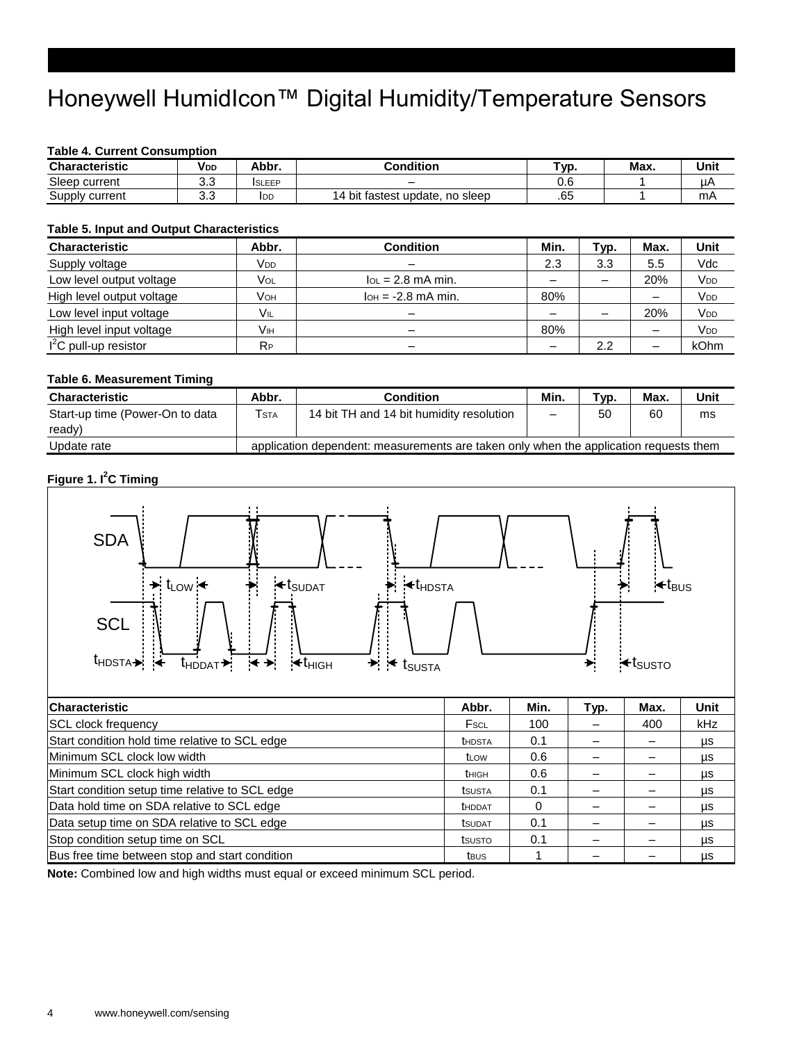## Honeywell HumidIcon<sup>™</sup> Digital Humidity/Temperature Sensors

#### **Table 4. Current Consumption**

| <b>Characteristic</b> | Vdd | Abbr.         | Condition                                     | Typ. | Max. | Unit |
|-----------------------|-----|---------------|-----------------------------------------------|------|------|------|
| Sleep current         | ິ.  | <b>ISLEEP</b> |                                               | v.c  |      | μP   |
| Supply<br>current     | ◡.◡ | IDD           | bit f<br>14<br>update.<br>tastest<br>no sleep | .65  |      | mA   |

#### **Table 5. Input and Output Characteristics**

| <b>Characteristic</b>     | Abbr.           | <b>Condition</b>                   | Min. | Typ. | Max. | Unit                  |
|---------------------------|-----------------|------------------------------------|------|------|------|-----------------------|
| Supply voltage            | V <sub>DD</sub> | $\overline{\phantom{0}}$           | 2.3  | 3.3  | 5.5  | Vdc                   |
| Low level output voltage  | Vol             | $I_{OL}$ = 2.8 mA min.             |      | -    | 20%  | V <sub>DD</sub>       |
| High level output voltage | Vон             | $I$ <sub>OH</sub> = $-2.8$ mA min. | 80%  |      |      | V <sub>DD</sub>       |
| Low level input voltage   | Vil             | -                                  |      |      | 20%  | <b>V<sub>DD</sub></b> |
| High level input voltage  | Vıн             | -                                  | 80%  |      |      | <b>V<sub>DD</sub></b> |
| $I2C$ pull-up resistor    | $R_{P}$         | -                                  |      | 2.2  |      | kOhm                  |

#### **Table 6. Measurement Timing**

| <b>Characteristic</b>           | Abbr.                                                                                 | <b>Condition</b>                         | Min. | Typ. | Max. | Unit |
|---------------------------------|---------------------------------------------------------------------------------------|------------------------------------------|------|------|------|------|
| Start-up time (Power-On to data | Tsta                                                                                  | 14 bit TH and 14 bit humidity resolution |      | 50   | 60   | ms   |
| ready)                          |                                                                                       |                                          |      |      |      |      |
| Update rate                     | application dependent: measurements are taken only when the application requests them |                                          |      |      |      |      |

#### **Figure 1. I<sup>2</sup>C Timing**



| <b>Characteristic</b>                           | Abbr.             | Min. | Typ. | Max. | <b>Unit</b> |
|-------------------------------------------------|-------------------|------|------|------|-------------|
| <b>SCL</b> clock frequency                      | Fscl              | 100  |      | 400  | kHz         |
| Start condition hold time relative to SCL edge  | <b>t</b> HDSTA    | 0.1  |      |      | μs          |
| Minimum SCL clock low width                     | t <sub>L</sub> ow | 0.6  |      |      | μs          |
| Minimum SCL clock high width                    | thigh             | 0.6  |      |      | μs          |
| Start condition setup time relative to SCL edge | tsusta            | 0.1  |      |      | μs          |
| Data hold time on SDA relative to SCL edge      | <b>t</b> HDDAT    | 0    |      |      | μs          |
| Data setup time on SDA relative to SCL edge     | <b>t</b> sudat    | 0.1  |      |      | μs          |
| Stop condition setup time on SCL                | tsusto            | 0.1  |      |      | μs          |
| Bus free time between stop and start condition  | tbus              |      |      |      | μs          |

**Note:** Combined low and high widths must equal or exceed minimum SCL period.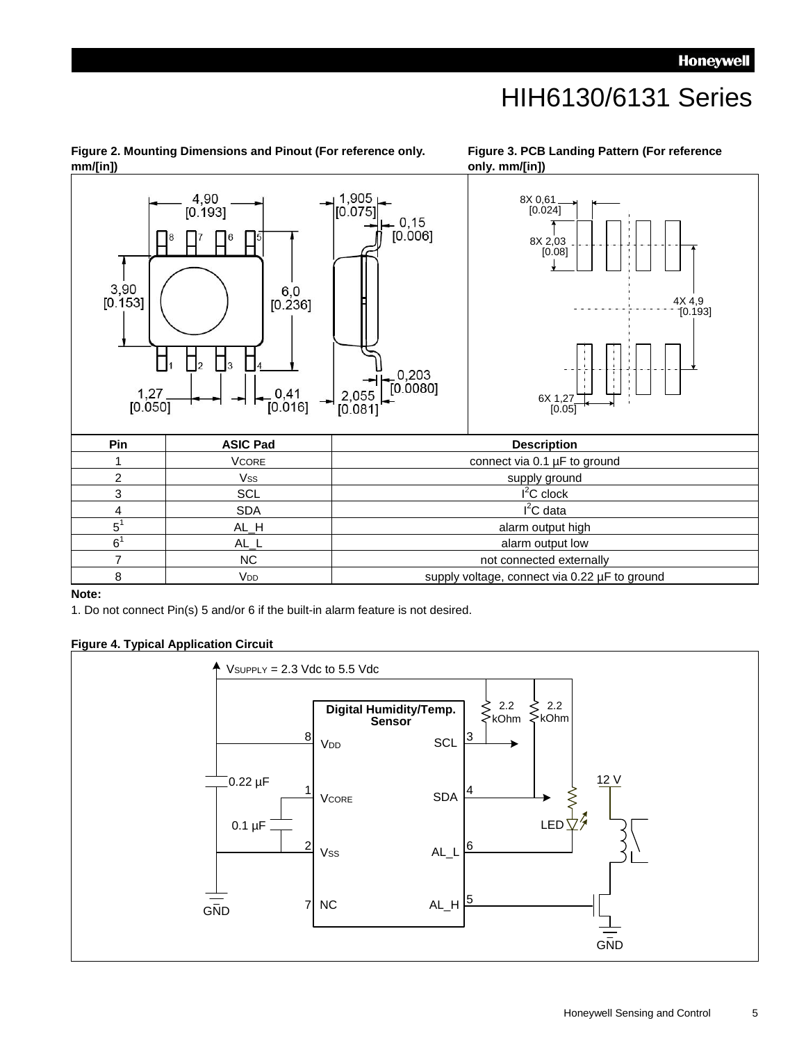### HIH6130/6131 Series

**Figure 3. PCB Landing Pattern (For reference** 

#### **only. mm/[in])** 1,905<br>[0.075] 4.90 ۔ 8X 0,61<br>[0.024]  $[0.193]$  $0, 15$  $[0.006]$ 8X 2,03 [0.08]  $3,90$  $6.0$  $[0.153]$  $[0.236]$ 4X 4,9<br><sup>--</sup>[0.193] Π  $\Box$  $\Box$  $\frac{0,203}{[0.0080]}$  $\frac{1,27}{[0.050]}$  $0,41$ 2,055 6X 1,27  $[0.081]$  $[0.016]$ [0.05] **Pin ASIC Pad Description** 1 VCORE connect via 0.1 µF to ground 2 Vss vss and the supply ground  $I<sup>2</sup>C$  clock 3 SCL SCL I  $I<sup>2</sup>C$  data 4 SDA I  $5^1$ AL\_H alarm output high  $6^1$ AL\_L alarm output low 7 NC NC NO RESERVE NOTE NOW NOTE 2 NOTE 2 NOTE 2 NOTE 2 NOTE 2 NOTE 2 NOTE 2 NOTE 2 NOTE 2 NOTE 2 NOTE 2 NOTE 2 NOTE 2 NOTE 2 NOTE 2 NOTE 2 NOTE 2 NOTE 2 NOTE 2 NOTE 2 NOTE 2 NOTE 2 NOTE 2 NOTE 2 NOTE 2 NOTE 2 NOTE 2 NOTE 8 V<sub>DD</sub> voltage, connect via 0.22 µF to ground

#### **Figure 2. Mounting Dimensions and Pinout (For reference only. mm/[in])**

#### **Note:**

1. Do not connect Pin(s) 5 and/or 6 if the built-in alarm feature is not desired.

#### **Figure 4. Typical Application Circuit**

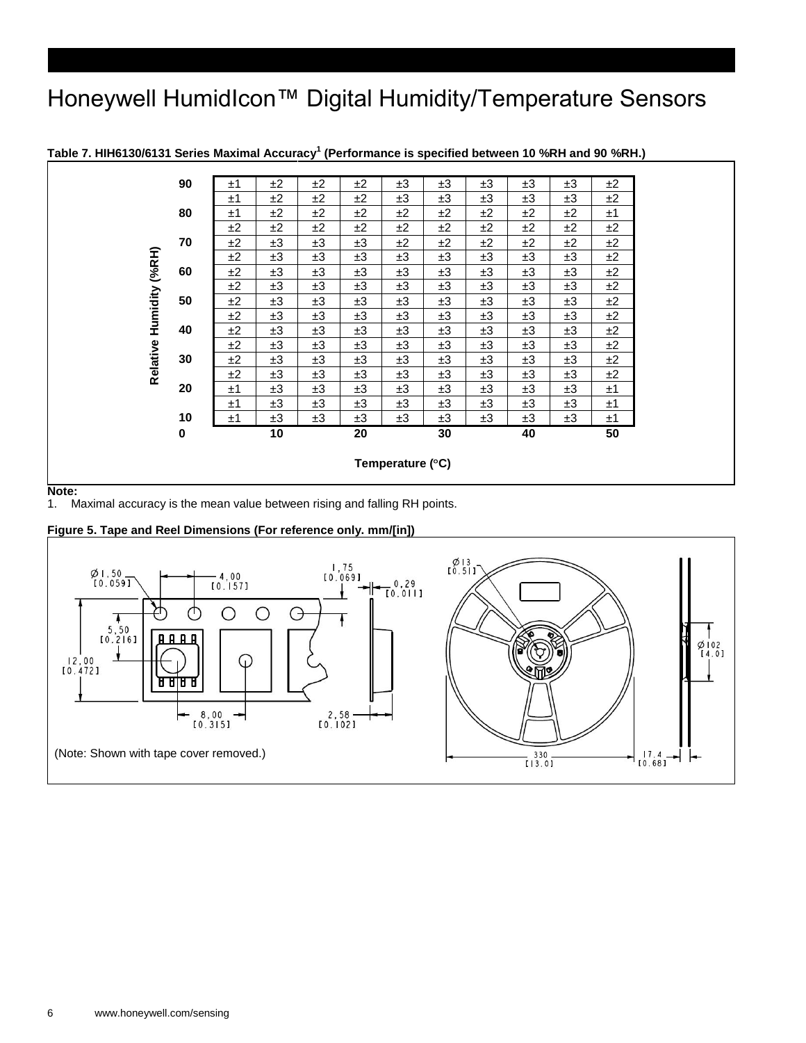### Honeywell HumidIcon<sup>™</sup> Digital Humidity/Temperature Sensors



**Table 7. HIH6130/6131 Series Maximal Accuracy<sup>1</sup> (Performance is specified between 10 %RH and 90 %RH.)**

**Note:** 

1. Maximal accuracy is the mean value between rising and falling RH points.



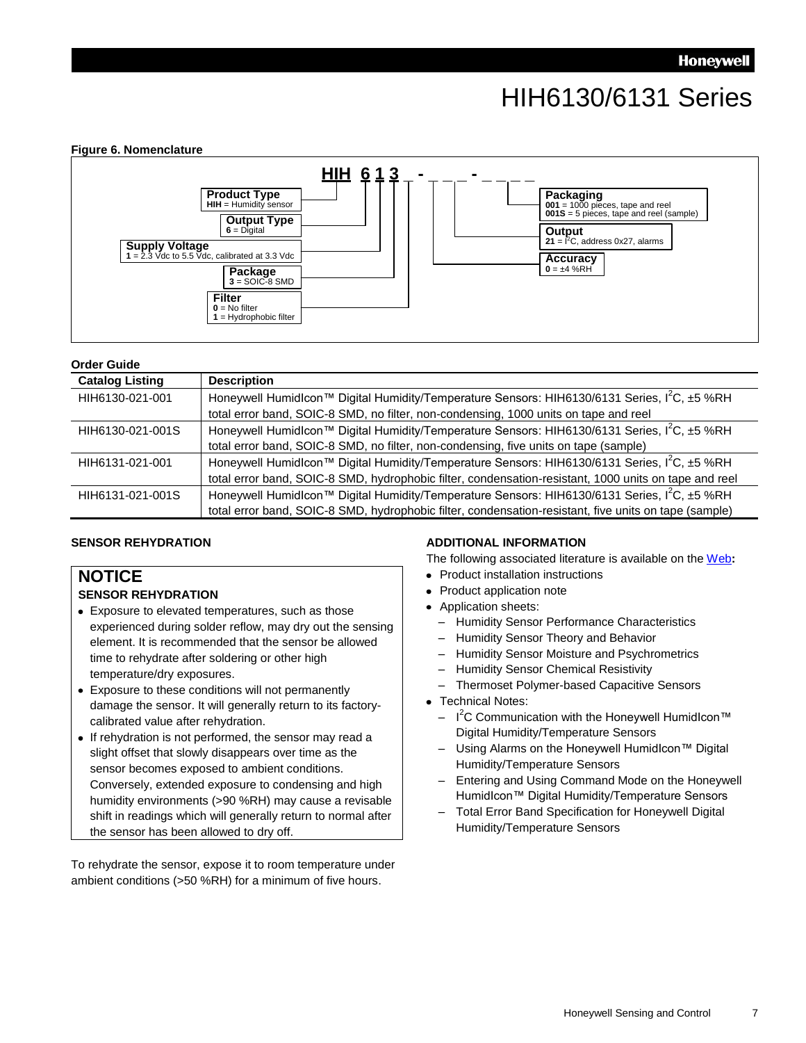## HIH6130/6131 Series



#### **Order Guide**

| <b>Catalog Listing</b> | <b>Description</b>                                                                                          |
|------------------------|-------------------------------------------------------------------------------------------------------------|
| HIH6130-021-001        | Honeywell Humidlcon™ Digital Humidity/Temperature Sensors: HIH6130/6131 Series, I <sup>2</sup> C, ±5 %RH    |
|                        | total error band, SOIC-8 SMD, no filter, non-condensing, 1000 units on tape and reel                        |
| HIH6130-021-001S       | Honeywell Humidlcon <sup>™</sup> Digital Humidity/Temperature Sensors: HIH6130/6131 Series, $I^2C$ , ±5 %RH |
|                        | total error band, SOIC-8 SMD, no filter, non-condensing, five units on tape (sample)                        |
| HIH6131-021-001        | Honeywell Humidlcon <sup>™</sup> Digital Humidity/Temperature Sensors: HIH6130/6131 Series, $I^2C$ , ±5 %RH |
|                        | total error band, SOIC-8 SMD, hydrophobic filter, condensation-resistant, 1000 units on tape and reel       |
| HIH6131-021-001S       | Honeywell Humidlcon™ Digital Humidity/Temperature Sensors: HIH6130/6131 Series, I <sup>2</sup> C, ±5 %RH    |
|                        | total error band, SOIC-8 SMD, hydrophobic filter, condensation-resistant, five units on tape (sample)       |

#### **SENSOR REHYDRATION**

### **NOTICE**

#### **SENSOR REHYDRATION**

- Exposure to elevated temperatures, such as those experienced during solder reflow, may dry out the sensing element. It is recommended that the sensor be allowed time to rehydrate after soldering or other high temperature/dry exposures.
- Exposure to these conditions will not permanently damage the sensor. It will generally return to its factorycalibrated value after rehydration.
- If rehydration is not performed, the sensor may read a slight offset that slowly disappears over time as the sensor becomes exposed to ambient conditions. Conversely, extended exposure to condensing and high humidity environments (>90 %RH) may cause a revisable shift in readings which will generally return to normal after the sensor has been allowed to dry off.

To rehydrate the sensor, expose it to room temperature under ambient conditions (>50 %RH) for a minimum of five hours.

#### **ADDITIONAL INFORMATION**

The following associated literature is available on the [Web](http://sensing.honeywell.com/index.cfm?ci_id=140264&defId=145575)**:**

- Product installation instructions
- Product application note
- Application sheets:
	- Humidity Sensor Performance Characteristics
	- Humidity Sensor Theory and Behavior
	- Humidity Sensor Moisture and Psychrometrics
	- Humidity Sensor Chemical Resistivity
	- Thermoset Polymer-based Capacitive Sensors
- Technical Notes:
	- $-$  I<sup>2</sup>C Communication with the Honeywell HumidIcon™ Digital Humidity/Temperature Sensors
	- Using Alarms on the Honeywell HumidIcon™ Digital Humidity/Temperature Sensors
	- Entering and Using Command Mode on the Honeywell HumidIcon™ Digital Humidity/Temperature Sensors
	- Total Error Band Specification for Honeywell Digital Humidity/Temperature Sensors